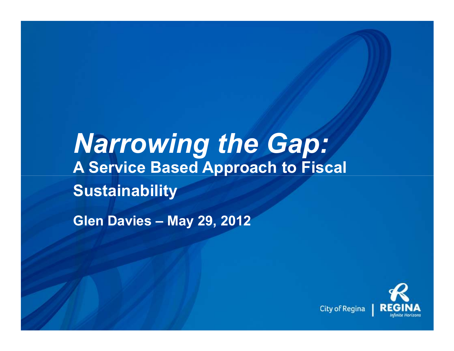# *Narrowing the Gap:* **A Service Based Approach to Fiscal Sustainability**

**Glen Davies – May 29, 2012**

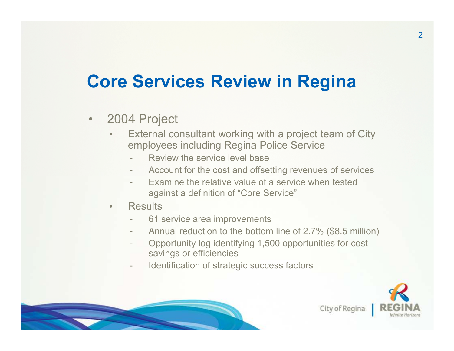# **Core Services Review in Regina**

- $\bullet$  2004 Project
	- $\bullet$  External consultant working with a project team of Cityemployees including Regina Police Service
		- Review the service level base
		- Account for the cost and offsetting revenues of services
		- Examine the relative value of a service when tested against a definition of "Core Service"
	- •**Results** 
		- 61 service area improvements
		- -Annual reduction to the bottom line of 2.7% (\$8.5 million)
		- Opportunity log identifying 1,500 opportunities for cost savings or efficiencies
		- Identification of strategic success factors



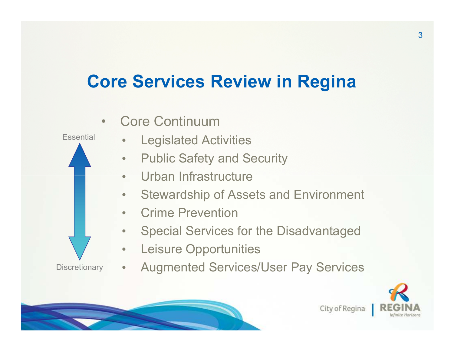# **Core Services Review in Regina**



- $\bullet$ Special Services for the Disadvantaged
- $\bullet$ Leisure Opportunities

**Discretionary** 

 $\bullet$ Augmented Services/User Pay Services



City of Regina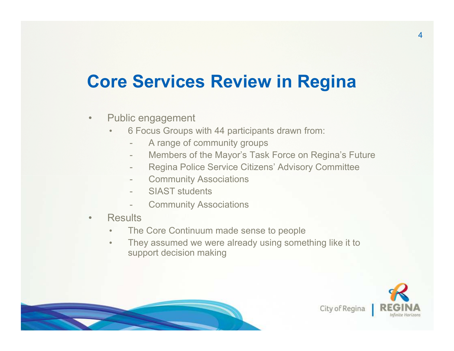# **Core Services Review in Regina**

- $\bullet$  Public engagement
	- • 6 Focus Groups with 44 participants drawn from:
		- A range of community groups
		- Members of the Mayor's Task Force on Regina's Future
		- Regina Police Service Citizens' Advisory Committee
		- Community Associations
		- SIAST students
		- Community Associations
- $\bullet$ **Results** 
	- •The Core Continuum made sense to people
	- They assumed we were already using something like it to •support decision making



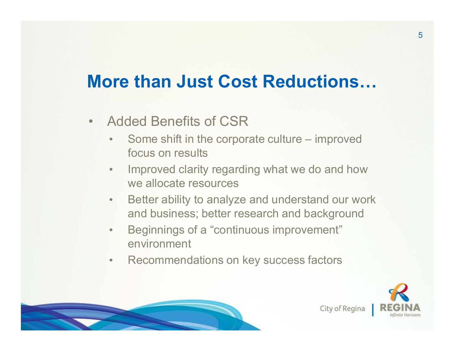# **More than Just Cost Reductions...**

- • Added Benefits of CSR
	- • Some shift in the corporate culture – improved focus on results
	- • Improved clarity regarding what we do and how we allocate resources
	- $\bullet$  Better ability to analyze and understand our work and business; better research and background
	- • Beginnings of a "continuous improvement" environment
	- $\bullet$ Recommendations on key success factors



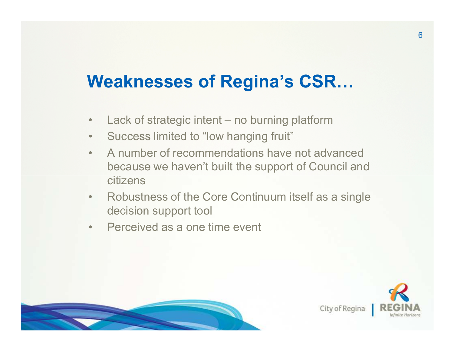# **Weaknesses of Regina's CSR...**

- •Lack of strategic intent – no burning platform
- $\bullet$ Success limited to "low hanging fruit"
- $\bullet$  A number of recommendations have not advanced because we haven't built the support of Council andcitizens
- • Robustness of the Core Continuum itself as a single decision support tool
- $\bullet$ Perceived as a one time event



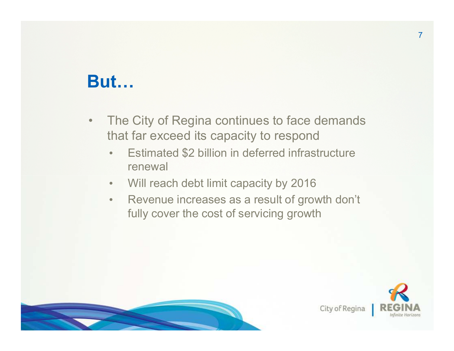## **But...**

- $\bullet$  The City of Regina continues to face demands that far exceed its capacity to respond
	- Estimated \$2 billion in deferred infrastructure •renewal
	- $\bullet$ Will reach debt limit capacity by 2016
	- $\bullet$  Revenue increases as a result of growth don't fully cover the cost of servicing growth



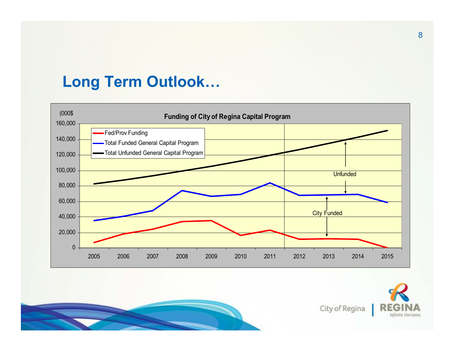#### **Long Term Outlook...**





City of Regina

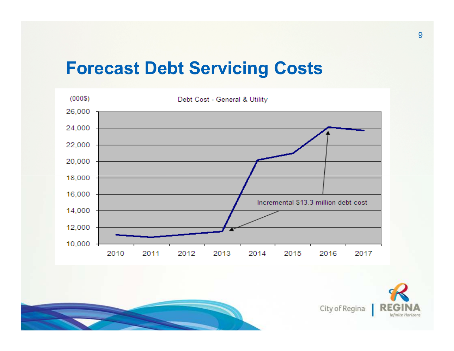#### **Forecast Debt Servicing Costs**



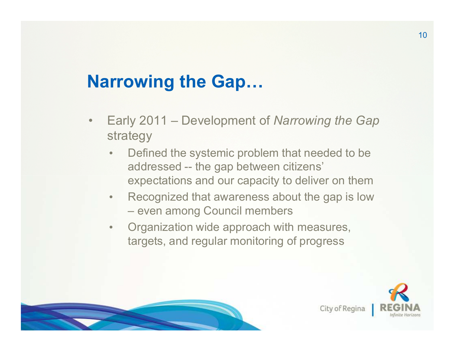# **Narrowing the Gap...**

- $\bullet$  Early 2011 – Development of *Narrowing the Gap*  strategy
	- • Defined the systemic problem that needed to be addressed -- the gap between citizens' expectations and our capacity to deliver on them
	- Recognized that awareness about the gap is low  $\bullet$ even among Council members
	- $\bullet$  Organization wide approach with measures, targets, and regular monitoring of progress



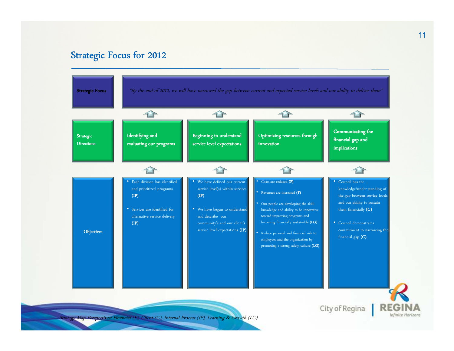#### Strategic Focus for 2012



Strategy Map Perspectives: Financial (F), Client (C), Internal Process (IP), Learning & Growth (LG)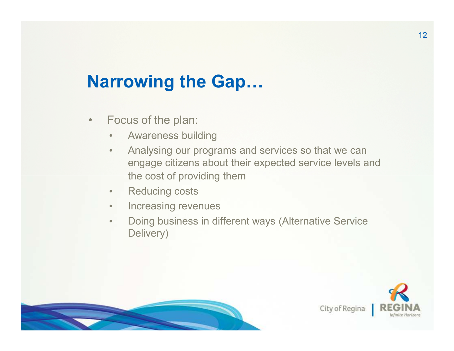# **Narrowing the Gap...**

- $\bullet$  Focus of the plan:
	- •Awareness building
	- • Analysing our programs and services so that we can engage citizens about their expected service levels and the cost of providing them
	- •Reducing costs
	- $\bullet$ Increasing revenues
	- $\bullet$  Doing business in different ways (Alternative Service Delivery)



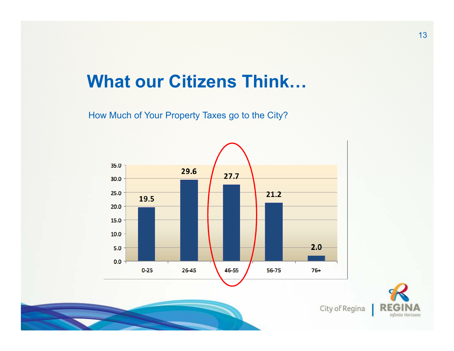## **What our Citizens Think...**

How Much of Your Property Taxes go to the City?



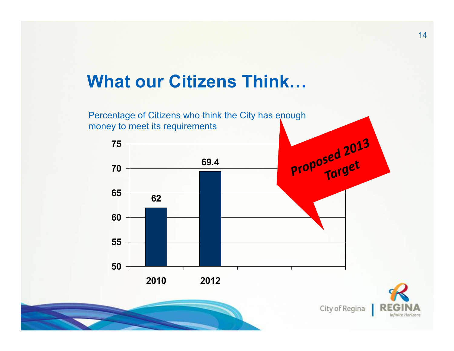## **What our Citizens Think...**

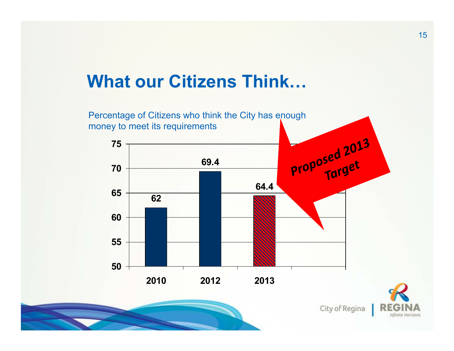## **What our Citizens Think...**

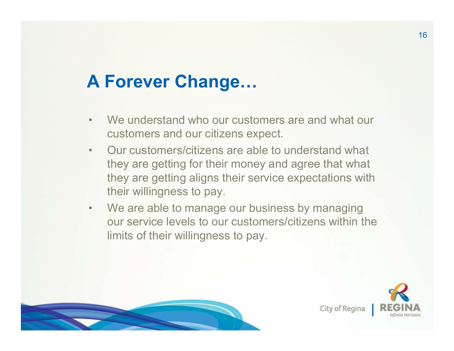# **A Forever Change...**

- •We understand who our customers are and what our customers and our citizens expect.
- • Our customers/citizens are able to understand what they are getting for their money and agree that what they are getting aligns their service expectations with their willingness to pay.
- $\bullet$ We are able to manage our business by managing our service levels to our customers/citizens within the limits of their willingness to pay.



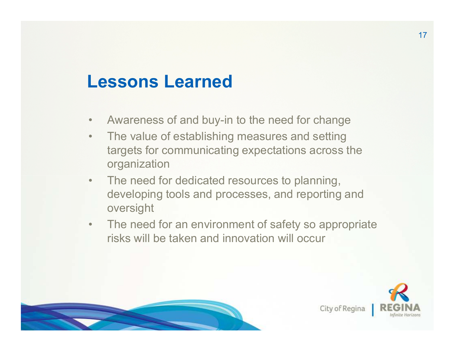## **Lessons Learned**

- $\bullet$ Awareness of and buy-in to the need for change
- $\bullet$  The value of establishing measures and setting targets for communicating expectations across the organization
- $\bullet$  The need for dedicated resources to planning, developing tools and processes, and reporting and oversight
- $\bullet$  The need for an environment of safety so appropriate risks will be taken and innovation will occur